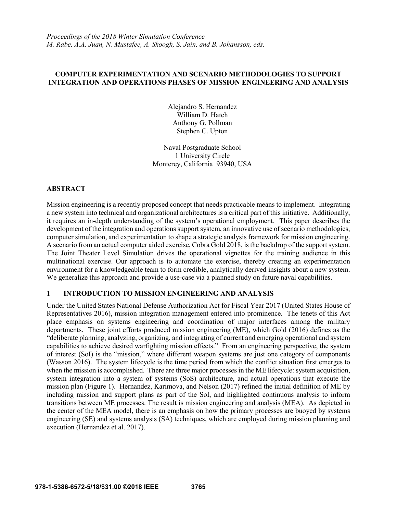*Proceedings of the 2018 Winter Simulation Conference M. Rabe, A.A. Juan, N. Mustafee, A. Skoogh, S. Jain, and B. Johansson, eds.*

## **COMPUTER EXPERIMENTATION AND SCENARIO METHODOLOGIES TO SUPPORT INTEGRATION AND OPERATIONS PHASES OF MISSION ENGINEERING AND ANALYSIS**

Alejandro S. Hernandez William D. Hatch Anthony G. Pollman Stephen C. Upton

Naval Postgraduate School 1 University Circle Monterey, California 93940, USA

#### **ABSTRACT**

Mission engineering is a recently proposed concept that needs practicable means to implement. Integrating a new system into technical and organizational architectures is a critical part of this initiative. Additionally, it requires an in-depth understanding of the system's operational employment. This paper describes the development of the integration and operations support system, an innovative use of scenario methodologies, computer simulation, and experimentation to shape a strategic analysis framework for mission engineering. A scenario from an actual computer aided exercise, Cobra Gold 2018, is the backdrop of the support system. The Joint Theater Level Simulation drives the operational vignettes for the training audience in this multinational exercise. Our approach is to automate the exercise, thereby creating an experimentation environment for a knowledgeable team to form credible, analytically derived insights about a new system. We generalize this approach and provide a use-case via a planned study on future naval capabilities.

### **1 INTRODUCTION TO MISSION ENGINEERING AND ANALYSIS**

Under the United States National Defense Authorization Act for Fiscal Year 2017 (United States House of Representatives 2016), mission integration management entered into prominence. The tenets of this Act place emphasis on systems engineering and coordination of major interfaces among the military departments. These joint efforts produced mission engineering (ME), which Gold (2016) defines as the "deliberate planning, analyzing, organizing, and integrating of current and emerging operational and system capabilities to achieve desired warfighting mission effects." From an engineering perspective, the system of interest (SoI) is the "mission," where different weapon systems are just one category of components (Wasson 2016). The system lifecycle is the time period from which the conflict situation first emerges to when the mission is accomplished. There are three major processes in the ME lifecycle: system acquisition, system integration into a system of systems (SoS) architecture, and actual operations that execute the mission plan (Figure 1). Hernandez, Karimova, and Nelson (2017) refined the initial definition of ME by including mission and support plans as part of the SoI, and highlighted continuous analysis to inform transitions between ME processes. The result is mission engineering and analysis (MEA). As depicted in the center of the MEA model, there is an emphasis on how the primary processes are buoyed by systems engineering (SE) and systems analysis (SA) techniques, which are employed during mission planning and execution (Hernandez et al. 2017).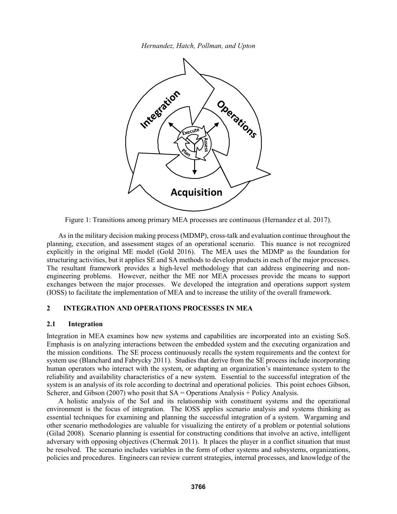

Figure 1: Transitions among primary MEA processes are continuous (Hernandez et al. 2017).

As in the military decision making process (MDMP), cross-talk and evaluation continue throughout the planning, execution, and assessment stages of an operational scenario. This nuance is not recognized explicitly in the original ME model (Gold 2016). The MEA uses the MDMP as the foundation for structuring activities, but it applies SE and SA methods to develop products in each of the major processes. The resultant framework provides a high-level methodology that can address engineering and nonengineering problems. However, neither the ME nor MEA processes provide the means to support exchanges between the major processes. We developed the integration and operations support system (IOSS) to facilitate the implementation of MEA and to increase the utility of the overall framework.

# **2 INTEGRATION AND OPERATIONS PROCESSES IN MEA**

#### **2.1 Integration**

Integration in MEA examines how new systems and capabilities are incorporated into an existing SoS. Emphasis is on analyzing interactions between the embedded system and the executing organization and the mission conditions. The SE process continuously recalls the system requirements and the context for system use (Blanchard and Fabrycky 2011). Studies that derive from the SE process include incorporating human operators who interact with the system, or adapting an organization's maintenance system to the reliability and availability characteristics of a new system. Essential to the successful integration of the system is an analysis of its role according to doctrinal and operational policies. This point echoes Gibson, Scherer, and Gibson (2007) who posit that  $SA =$  Operations Analysis + Policy Analysis.

A holistic analysis of the SoI and its relationship with constituent systems and the operational environment is the focus of integration. The IOSS applies scenario analysis and systems thinking as essential techniques for examining and planning the successful integration of a system. Wargaming and other scenario methodologies are valuable for visualizing the entirety of a problem or potential solutions (Gilad 2008). Scenario planning is essential for constructing conditions that involve an active, intelligent adversary with opposing objectives (Chermak 2011). It places the player in a conflict situation that must be resolved. The scenario includes variables in the form of other systems and subsystems, organizations, policies and procedures. Engineers can review current strategies, internal processes, and knowledge of the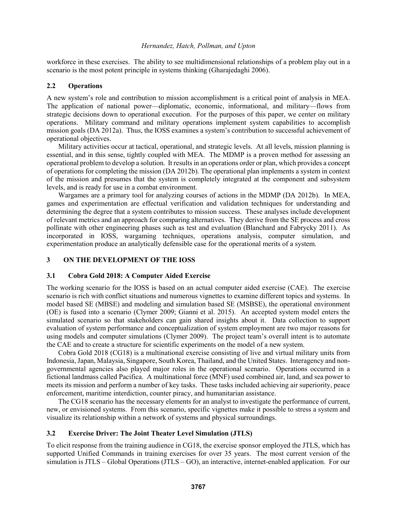workforce in these exercises. The ability to see multidimensional relationships of a problem play out in a scenario is the most potent principle in systems thinking (Gharajedaghi 2006).

## **2.2 Operations**

A new system's role and contribution to mission accomplishment is a critical point of analysis in MEA. The application of national power—diplomatic, economic, informational, and military—flows from strategic decisions down to operational execution. For the purposes of this paper, we center on military operations. Military command and military operations implement system capabilities to accomplish mission goals (DA 2012a). Thus, the IOSS examines a system's contribution to successful achievement of operational objectives.

Military activities occur at tactical, operational, and strategic levels. At all levels, mission planning is essential, and in this sense, tightly coupled with MEA. The MDMP is a proven method for assessing an operational problem to develop a solution. It results in an operations order or plan, which provides a concept of operations for completing the mission (DA 2012b). The operational plan implements a system in context of the mission and presumes that the system is completely integrated at the component and subsystem levels, and is ready for use in a combat environment.

Wargames are a primary tool for analyzing courses of actions in the MDMP (DA 2012b). In MEA, games and experimentation are effectual verification and validation techniques for understanding and determining the degree that a system contributes to mission success. These analyses include development of relevant metrics and an approach for comparing alternatives. They derive from the SE process and cross pollinate with other engineering phases such as test and evaluation (Blanchard and Fabrycky 2011). As incorporated in IOSS, wargaming techniques, operations analysis, computer simulation, and experimentation produce an analytically defensible case for the operational merits of a system.

## **3 ON THE DEVELOPMENT OF THE IOSS**

## **3.1 Cobra Gold 2018: A Computer Aided Exercise**

The working scenario for the IOSS is based on an actual computer aided exercise (CAE). The exercise scenario is rich with conflict situations and numerous vignettes to examine different topics and systems. In model based SE (MBSE) and modeling and simulation based SE (MSBSE), the operational environment (OE) is fused into a scenario (Clymer 2009; Gianni et al. 2015). An accepted system model enters the simulated scenario so that stakeholders can gain shared insights about it. Data collection to support evaluation of system performance and conceptualization of system employment are two major reasons for using models and computer simulations (Clymer 2009). The project team's overall intent is to automate the CAE and to create a structure for scientific experiments on the model of a new system.

Cobra Gold 2018 (CG18) is a multinational exercise consisting of live and virtual military units from Indonesia, Japan, Malaysia, Singapore, South Korea, Thailand, and the United States. Interagency and nongovernmental agencies also played major roles in the operational scenario. Operations occurred in a fictional landmass called Pacifica. A multinational force (MNF) used combined air, land, and sea power to meets its mission and perform a number of key tasks. These tasks included achieving air superiority, peace enforcement, maritime interdiction, counter piracy, and humanitarian assistance.

The CG18 scenario has the necessary elements for an analyst to investigate the performance of current, new, or envisioned systems. From this scenario, specific vignettes make it possible to stress a system and visualize its relationship within a network of systems and physical surroundings.

## **3.2 Exercise Driver: The Joint Theater Level Simulation (JTLS)**

To elicit response from the training audience in CG18, the exercise sponsor employed the JTLS, which has supported Unified Commands in training exercises for over 35 years. The most current version of the simulation is JTLS – Global Operations (JTLS – GO), an interactive, internet-enabled application. For our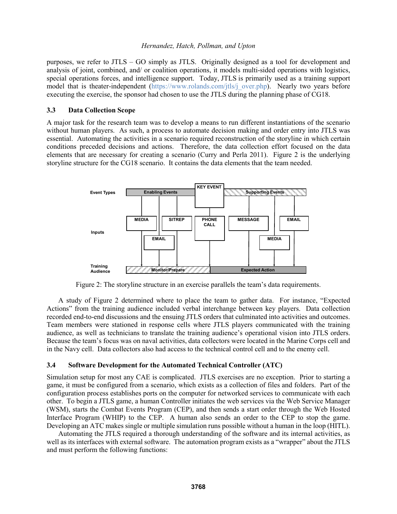purposes, we refer to JTLS – GO simply as JTLS. Originally designed as a tool for development and analysis of joint, combined, and/ or coalition operations, it models multi-sided operations with logistics, special operations forces, and intelligence support. Today, JTLS is primarily used as a training support model that is theater-independent (https://www.rolands.com/jtls/j\_over.php). Nearly two years before executing the exercise, the sponsor had chosen to use the JTLS during the planning phase of CG18.

### **3.3 Data Collection Scope**

A major task for the research team was to develop a means to run different instantiations of the scenario without human players. As such, a process to automate decision making and order entry into JTLS was essential. Automating the activities in a scenario required reconstruction of the storyline in which certain conditions preceded decisions and actions. Therefore, the data collection effort focused on the data elements that are necessary for creating a scenario (Curry and Perla 2011). Figure 2 is the underlying storyline structure for the CG18 scenario. It contains the data elements that the team needed.



Figure 2: The storyline structure in an exercise parallels the team's data requirements.

A study of Figure 2 determined where to place the team to gather data. For instance, "Expected Actions" from the training audience included verbal interchange between key players. Data collection recorded end-to-end discussions and the ensuing JTLS orders that culminated into activities and outcomes. Team members were stationed in response cells where JTLS players communicated with the training audience, as well as technicians to translate the training audience's operational vision into JTLS orders. Because the team's focus was on naval activities, data collectors were located in the Marine Corps cell and in the Navy cell. Data collectors also had access to the technical control cell and to the enemy cell.

## **3.4 Software Development for the Automated Technical Controller (ATC)**

Simulation setup for most any CAE is complicated. JTLS exercises are no exception. Prior to starting a game, it must be configured from a scenario, which exists as a collection of files and folders. Part of the configuration process establishes ports on the computer for networked services to communicate with each other. To begin a JTLS game, a human Controller initiates the web services via the Web Service Manager (WSM), starts the Combat Events Program (CEP), and then sends a start order through the Web Hosted Interface Program (WHIP) to the CEP. A human also sends an order to the CEP to stop the game. Developing an ATC makes single or multiple simulation runs possible without a human in the loop (HITL).

Automating the JTLS required a thorough understanding of the software and its internal activities, as well as its interfaces with external software. The automation program exists as a "wrapper" about the JTLS and must perform the following functions: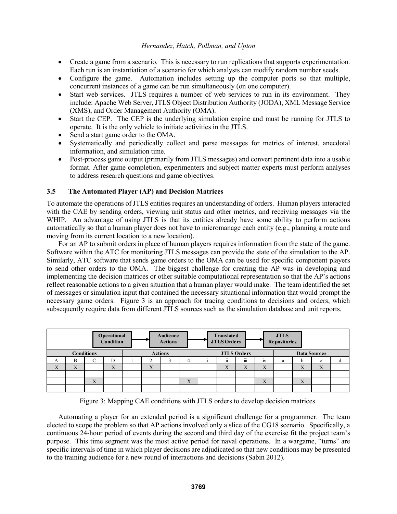- Create a game from a scenario. This is necessary to run replications that supports experimentation. Each run is an instantiation of a scenario for which analysts can modify random number seeds.
- Configure the game. Automation includes setting up the computer ports so that multiple, concurrent instances of a game can be run simultaneously (on one computer).
- Start web services. JTLS requires a number of web services to run in its environment. They include: Apache Web Server, JTLS Object Distribution Authority (JODA), XML Message Service (XMS), and Order Management Authority (OMA).
- Start the CEP. The CEP is the underlying simulation engine and must be running for JTLS to operate. It is the only vehicle to initiate activities in the JTLS.
- Send a start game order to the OMA.
- Systematically and periodically collect and parse messages for metrics of interest, anecdotal information, and simulation time.
- Post-process game output (primarily from JTLS messages) and convert pertinent data into a usable format. After game completion, experimenters and subject matter experts must perform analyses to address research questions and game objectives.

## **3.5 The Automated Player (AP) and Decision Matrices**

To automate the operations of JTLS entities requires an understanding of orders. Human players interacted with the CAE by sending orders, viewing unit status and other metrics, and receiving messages via the WHIP. An advantage of using JTLS is that its entities already have some ability to perform actions automatically so that a human player does not have to micromanage each entity (e.g., planning a route and moving from its current location to a new location).

For an AP to submit orders in place of human players requires information from the state of the game. Software within the ATC for monitoring JTLS messages can provide the state of the simulation to the AP. Similarly, ATC software that sends game orders to the OMA can be used for specific component players to send other orders to the OMA. The biggest challenge for creating the AP was in developing and implementing the decision matrices or other suitable computational representation so that the AP's actions reflect reasonable actions to a given situation that a human player would make. The team identified the set of messages or simulation input that contained the necessary situational information that would prompt the necessary game orders. Figure 3 is an approach for tracing conditions to decisions and orders, which subsequently require data from different JTLS sources such as the simulation database and unit reports.

| JTLS<br>Repositories<br>Operational<br><b>Audience</b><br><b>Translated</b><br>Condition<br><b>JTLS Orders</b><br><b>Actions</b> |                             |                           |                             |  |                           |                |                                      |                           |                                      |                           |   |                             |                           |  |
|----------------------------------------------------------------------------------------------------------------------------------|-----------------------------|---------------------------|-----------------------------|--|---------------------------|----------------|--------------------------------------|---------------------------|--------------------------------------|---------------------------|---|-----------------------------|---------------------------|--|
|                                                                                                                                  |                             | <b>Conditions</b>         |                             |  |                           | <b>Actions</b> |                                      |                           | <b>JTLS Orders</b>                   |                           |   |                             | <b>Data Sources</b>       |  |
| A                                                                                                                                | B                           |                           | D                           |  |                           |                |                                      | <br>$\mathbf{u}$          | $\cdots$<br>111                      | IV                        | a |                             | $\mathbf{c}$              |  |
| $\mathbf{v}$<br>$\mathbf{A}$                                                                                                     | $\overline{Y}$<br>$\Lambda$ |                           | $\overline{V}$<br>$\Lambda$ |  | $\mathbf{v}$<br>$\Lambda$ |                |                                      | $\mathbf{v}$<br>$\Lambda$ | $\overline{\mathbf{v}}$<br>$\Lambda$ | $\mathbf{v}$<br>$\Lambda$ |   | $\Lambda$                   | $\mathbf{v}$<br>$\Lambda$ |  |
|                                                                                                                                  |                             |                           |                             |  |                           |                |                                      |                           |                                      |                           |   |                             |                           |  |
|                                                                                                                                  |                             | $\mathbf{x}$<br>$\Lambda$ |                             |  |                           |                | $\overline{\mathbf{v}}$<br>$\Lambda$ |                           |                                      | $\mathbf{v}$<br>$\Lambda$ |   | $\overline{V}$<br>$\Lambda$ |                           |  |
|                                                                                                                                  |                             |                           |                             |  |                           |                |                                      |                           |                                      |                           |   |                             |                           |  |

Figure 3: Mapping CAE conditions with JTLS orders to develop decision matrices.

Automating a player for an extended period is a significant challenge for a programmer. The team elected to scope the problem so that AP actions involved only a slice of the CG18 scenario. Specifically, a continuous 24-hour period of events during the second and third day of the exercise fit the project team's purpose. This time segment was the most active period for naval operations. In a wargame, "turns" are specific intervals of time in which player decisions are adjudicated so that new conditions may be presented to the training audience for a new round of interactions and decisions (Sabin 2012).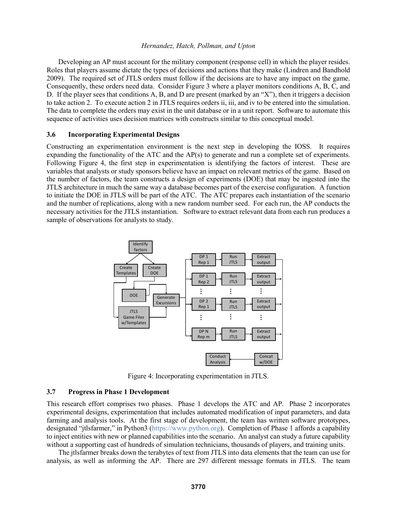Developing an AP must account for the military component (response cell) in which the player resides. Roles that players assume dictate the types of decisions and actions that they make (Lindren and Bandhold 2009). The required set of JTLS orders must follow if the decisions are to have any impact on the game. Consequently, these orders need data. Consider Figure 3 where a player monitors conditions A, B, C, and D. If the player sees that conditions A, B, and D are present (marked by an "X"), then it triggers a decision to take action 2. To execute action 2 in JTLS requires orders ii, iii, and iv to be entered into the simulation. The data to complete the orders may exist in the unit database or in a unit report. Software to automate this sequence of activities uses decision matrices with constructs similar to this conceptual model.

#### **3.6 Incorporating Experimental Designs**

Constructing an experimentation environment is the next step in developing the IOSS. It requires expanding the functionality of the ATC and the AP(s) to generate and run a complete set of experiments. Following Figure 4, the first step in experimentation is identifying the factors of interest. These are variables that analysts or study sponsors believe have an impact on relevant metrics of the game. Based on the number of factors, the team constructs a design of experiments (DOE) that may be ingested into the JTLS architecture in much the same way a database becomes part of the exercise configuration. A function to initiate the DOE in JTLS will be part of the ATC. The ATC prepares each instantiation of the scenario and the number of replications, along with a new random number seed. For each run, the AP conducts the necessary activities for the JTLS instantiation. Software to extract relevant data from each run produces a sample of observations for analysts to study.



Figure 4: Incorporating experimentation in JTLS.

#### **3.7 Progress in Phase 1 Development**

This research effort comprises two phases. Phase 1 develops the ATC and AP. Phase 2 incorporates experimental designs, experimentation that includes automated modification of input parameters, and data farming and analysis tools. At the first stage of development, the team has written software prototypes, designated "jtlsfarmer," in Python3 (https://www.python.org). Completion of Phase 1 affords a capability to inject entities with new or planned capabilities into the scenario. An analyst can study a future capability without a supporting cast of hundreds of simulation technicians, thousands of players, and training units.

The jtlsfarmer breaks down the terabytes of text from JTLS into data elements that the team can use for analysis, as well as informing the AP. There are 297 different message formats in JTLS. The team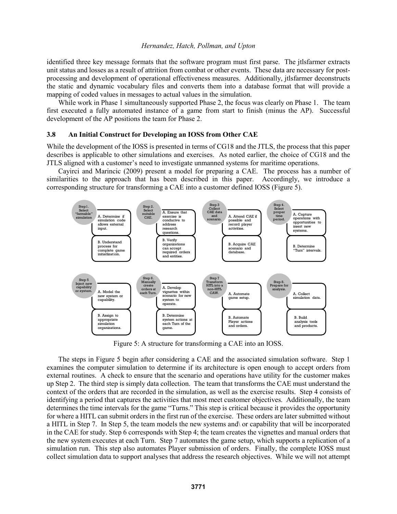identified three key message formats that the software program must first parse. The jtlsfarmer extracts unit status and losses as a result of attrition from combat or other events. These data are necessary for postprocessing and development of operational effectiveness measures. Additionally, jtlsfarmer deconstructs the static and dynamic vocabulary files and converts them into a database format that will provide a mapping of coded values in messages to actual values in the simulation.

While work in Phase 1 simultaneously supported Phase 2, the focus was clearly on Phase 1. The team first executed a fully automated instance of a game from start to finish (minus the AP). Successful development of the AP positions the team for Phase 2.

#### **3.8 An Initial Construct for Developing an IOSS from Other CAE**

While the development of the IOSS is presented in terms of CG18 and the JTLS, the process that this paper describes is applicable to other simulations and exercises. As noted earlier, the choice of CG18 and the JTLS aligned with a customer's need to investigate unmanned systems for maritime operations.

Cayirci and Marincic (2009) present a model for preparing a CAE. The process has a number of similarities to the approach that has been described in this paper. Accordingly, we introduce a corresponding structure for transforming a CAE into a customer defined IOSS (Figure 5).



Figure 5: A structure for transforming a CAE into an IOSS.

The steps in Figure 5 begin after considering a CAE and the associated simulation software. Step 1 examines the computer simulation to determine if its architecture is open enough to accept orders from external routines. A check to ensure that the scenario and operations have utility for the customer makes up Step 2. The third step is simply data collection. The team that transforms the CAE must understand the context of the orders that are recorded in the simulation, as well as the exercise results. Step 4 consists of identifying a period that captures the activities that most meet customer objectives. Additionally, the team determines the time intervals for the game "Turns." This step is critical because it provides the opportunity for where a HITL can submit orders in the first run of the exercise. These orders are later submitted without a HITL in Step 7. In Step 5, the team models the new systems and\ or capability that will be incorporated in the CAE for study. Step 6 corresponds with Step 4; the team creates the vignettes and manual orders that the new system executes at each Turn. Step 7 automates the game setup, which supports a replication of a simulation run. This step also automates Player submission of orders. Finally, the complete IOSS must collect simulation data to support analyses that address the research objectives. While we will not attempt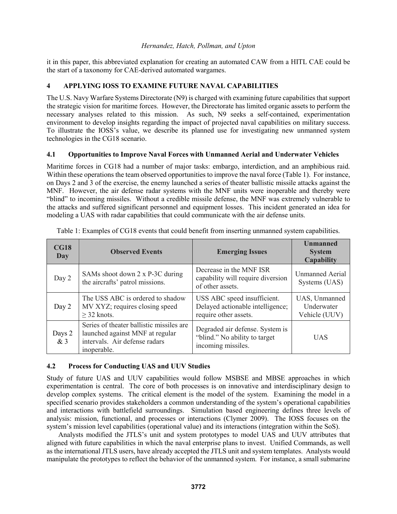it in this paper, this abbreviated explanation for creating an automated CAW from a HITL CAE could be the start of a taxonomy for CAE-derived automated wargames.

# **4 APPLYING IOSS TO EXAMINE FUTURE NAVAL CAPABILITIES**

The U.S. Navy Warfare Systems Directorate (N9) is charged with examining future capabilities that support the strategic vision for maritime forces. However, the Directorate has limited organic assets to perform the necessary analyses related to this mission. As such, N9 seeks a self-contained, experimentation environment to develop insights regarding the impact of projected naval capabilities on military success. To illustrate the IOSS's value, we describe its planned use for investigating new unmanned system technologies in the CG18 scenario.

## **4.1 Opportunities to Improve Naval Forces with Unmanned Aerial and Underwater Vehicles**

Maritime forces in CG18 had a number of major tasks: embargo, interdiction, and an amphibious raid. Within these operations the team observed opportunities to improve the naval force (Table 1). For instance, on Days 2 and 3 of the exercise, the enemy launched a series of theater ballistic missile attacks against the MNF. However, the air defense radar systems with the MNF units were inoperable and thereby were "blind" to incoming missiles. Without a credible missile defense, the MNF was extremely vulnerable to the attacks and suffered significant personnel and equipment losses. This incident generated an idea for modeling a UAS with radar capabilities that could communicate with the air defense units.

| CG18<br>Day  | <b>Observed Events</b>                                                                                                      | <b>Emerging Issues</b>                                                                   | <b>Unmanned</b><br><b>System</b><br><b>Capability</b> |
|--------------|-----------------------------------------------------------------------------------------------------------------------------|------------------------------------------------------------------------------------------|-------------------------------------------------------|
| Day 2        | SAMs shoot down 2 x P-3C during<br>the aircrafts' patrol missions.                                                          | Decrease in the MNF ISR<br>capability will require diversion<br>of other assets.         | <b>Unmanned Aerial</b><br>Systems (UAS)               |
| Day 2        | The USS ABC is ordered to shadow<br>MV XYZ; requires closing speed<br>$\geq$ 32 knots.                                      | USS ABC speed insufficient.<br>Delayed actionable intelligence;<br>require other assets. | UAS, Unmanned<br>Underwater<br>Vehicle (UUV)          |
| Days 2<br>&3 | Series of theater ballistic missiles are<br>launched against MNF at regular<br>intervals. Air defense radars<br>inoperable. | Degraded air defense. System is<br>"blind." No ability to target<br>incoming missiles.   | <b>UAS</b>                                            |

Table 1: Examples of CG18 events that could benefit from inserting unmanned system capabilities.

# **4.2 Process for Conducting UAS and UUV Studies**

Study of future UAS and UUV capabilities would follow MSBSE and MBSE approaches in which experimentation is central. The core of both processes is on innovative and interdisciplinary design to develop complex systems. The critical element is the model of the system. Examining the model in a specified scenario provides stakeholders a common understanding of the system's operational capabilities and interactions with battlefield surroundings. Simulation based engineering defines three levels of analysis: mission, functional, and processes or interactions (Clymer 2009). The IOSS focuses on the system's mission level capabilities (operational value) and its interactions (integration within the SoS).

Analysts modified the JTLS's unit and system prototypes to model UAS and UUV attributes that aligned with future capabilities in which the naval enterprise plans to invest. Unified Commands, as well as the international JTLS users, have already accepted the JTLS unit and system templates. Analysts would manipulate the prototypes to reflect the behavior of the unmanned system. For instance, a small submarine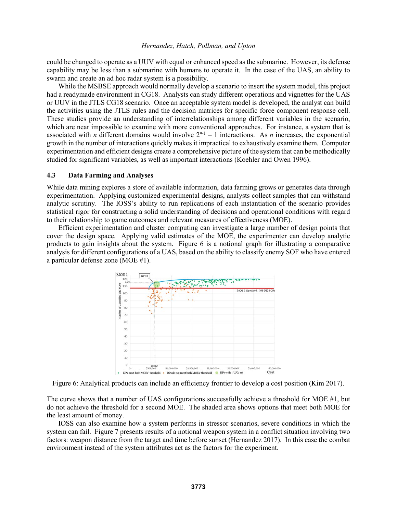could be changed to operate as a UUV with equal or enhanced speed as the submarine. However, its defense capability may be less than a submarine with humans to operate it. In the case of the UAS, an ability to swarm and create an ad hoc radar system is a possibility.

While the MSBSE approach would normally develop a scenario to insert the system model, this project had a readymade environment in CG18. Analysts can study different operations and vignettes for the UAS or UUV in the JTLS CG18 scenario. Once an acceptable system model is developed, the analyst can build the activities using the JTLS rules and the decision matrices for specific force component response cell. These studies provide an understanding of interrelationships among different variables in the scenario, which are near impossible to examine with more conventional approaches. For instance, a system that is associated with *n* different domains would involve  $2^{n-1} - 1$  interactions. As *n* increases, the exponential growth in the number of interactions quickly makes it impractical to exhaustively examine them. Computer experimentation and efficient designs create a comprehensive picture of the system that can be methodically studied for significant variables, as well as important interactions (Koehler and Owen 1996).

### **4.3 Data Farming and Analyses**

While data mining explores a store of available information, data farming grows or generates data through experimentation. Applying customized experimental designs, analysts collect samples that can withstand analytic scrutiny. The IOSS's ability to run replications of each instantiation of the scenario provides statistical rigor for constructing a solid understanding of decisions and operational conditions with regard to their relationship to game outcomes and relevant measures of effectiveness (MOE).

Efficient experimentation and cluster computing can investigate a large number of design points that cover the design space. Applying valid estimates of the MOE, the experimenter can develop analytic products to gain insights about the system. Figure 6 is a notional graph for illustrating a comparative analysis for different configurations of a UAS, based on the ability to classify enemy SOF who have entered a particular defense zone (MOE #1).



Figure 6: Analytical products can include an efficiency frontier to develop a cost position (Kim 2017).

The curve shows that a number of UAS configurations successfully achieve a threshold for MOE #1, but do not achieve the threshold for a second MOE. The shaded area shows options that meet both MOE for the least amount of money.

IOSS can also examine how a system performs in stressor scenarios, severe conditions in which the system can fail. Figure 7 presents results of a notional weapon system in a conflict situation involving two factors: weapon distance from the target and time before sunset (Hernandez 2017). In this case the combat environment instead of the system attributes act as the factors for the experiment.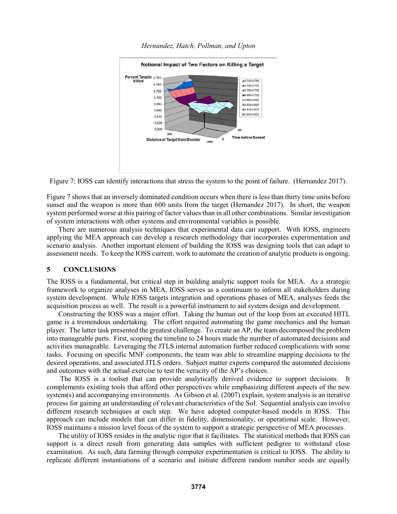

Figure 7: IOSS can identify interactions that stress the system to the point of failure. (Hernandez 2017).

Figure 7 shows that an inversely dominated condition occurs when there is less than thirty time units before sunset and the weapon is more than 600 units from the target (Hernandez 2017). In short, the weapon system performed worse at this pairing of factor values than in all other combinations. Similar investigation of system interactions with other systems and environmental variables is possible.

There are numerous analysis techniques that experimental data can support. With IOSS, engineers applying the MEA approach can develop a research methodology that incorporates experimentation and scenario analysis. Another important element of building the IOSS was designing tools that can adapt to assessment needs. To keep the IOSS current, work to automate the creation of analytic products is ongoing.

## **5 CONCLUSIONS**

The IOSS is a fundamental, but critical step in building analytic support tools for MEA. As a strategic framework to organize analyses in MEA, IOSS serves as a continuum to inform all stakeholders during system development. While IOSS targets integration and operations phases of MEA, analyses feeds the acquisition process as well. The result is a powerful instrument to aid system design and development.

Constructing the IOSS was a major effort. Taking the human out of the loop from an executed HITL game is a tremendous undertaking. The effort required automating the game mechanics and the human player. The latter task presented the greatest challenge. To create an AP, the team decomposed the problem into manageable parts. First, scoping the timeline to 24 hours made the number of automated decisions and activities manageable. Leveraging the JTLS internal automation further reduced complications with some tasks. Focusing on specific MNF components, the team was able to streamline mapping decisions to the desired operations, and associated JTLS orders. Subject matter experts compared the automated decisions and outcomes with the actual exercise to test the veracity of the AP's choices.

The IOSS is a toolset that can provide analytically derived evidence to support decisions. It complements existing tools that afford other perspectives while emphasizing different aspects of the new system(s) and accompanying environments. As Gibson et al. (2007) explain, system analysis is an iterative process for gaining an understanding of relevant characteristics of the SoI. Sequential analysis can involve different research techniques at each step. We have adopted computer-based models in IOSS. This approach can include models that can differ in fidelity, dimensionality, or operational scale. However, IOSS maintains a mission level focus of the system to support a strategic perspective of MEA processes.

The utility of IOSS resides in the analytic rigor that it facilitates. The statistical methods that IOSS can support is a direct result from generating data samples with sufficient pedigree to withstand close examination. As such, data farming through computer experimentation is critical to IOSS. The ability to replicate different instantiations of a scenario and initiate different random number seeds are equally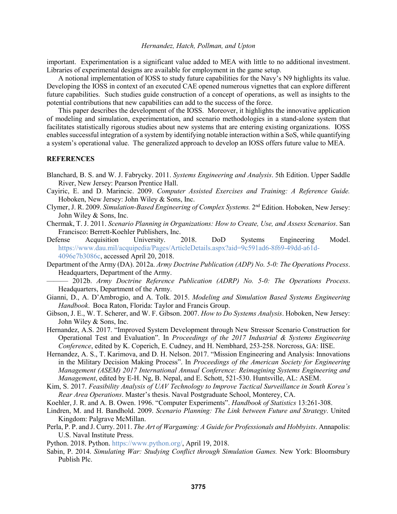important. Experimentation is a significant value added to MEA with little to no additional investment. Libraries of experimental designs are available for employment in the game setup.

A notional implementation of IOSS to study future capabilities for the Navy's N9 highlights its value. Developing the IOSS in context of an executed CAE opened numerous vignettes that can explore different future capabilities. Such studies guide construction of a concept of operations, as well as insights to the potential contributions that new capabilities can add to the success of the force.

This paper describes the development of the IOSS. Moreover, it highlights the innovative application of modeling and simulation, experimentation, and scenario methodologies in a stand-alone system that facilitates statistically rigorous studies about new systems that are entering existing organizations. IOSS enables successful integration of a system by identifying notable interaction within a SoS, while quantifying a system's operational value. The generalized approach to develop an IOSS offers future value to MEA.

### **REFERENCES**

- Blanchard, B. S. and W. J. Fabrycky. 2011. *Systems Engineering and Analysis*. 5th Edition. Upper Saddle River, New Jersey: Pearson Prentice Hall.
- Cayiric, E. and D. Marincic. 2009. *Computer Assisted Exercises and Training: A Reference Guide.* Hoboken, New Jersey: John Wiley & Sons, Inc.
- Clymer, J. R. 2009. *Simulation-Based Engineering of Complex Systems.* 2nd Edition. Hoboken, New Jersey: John Wiley & Sons, Inc.
- Chermak, T. J. 2011. *Scenario Planning in Organizations: How to Create, Use, and Assess Scenarios*. San Francisco: Berrett-Koehler Publishers, Inc.
- Defense Acquisition University. 2018. DoD Systems Engineering Model. https://www.dau.mil/acquipedia/Pages/ArticleDetails.aspx?aid=9c591ad6-8f69-49dd-a61d-4096e7b3086c, accessed April 20, 2018.
- Department of the Army (DA). 2012a. *Army Doctrine Publication (ADP) No. 5-0: The Operations Process*. Headquarters, Department of the Army.
- ——— 2012b. *Army Doctrine Reference Publication (ADRP) No. 5-0: The Operations Process*. Headquarters, Department of the Army.
- Gianni, D., A. D'Ambrogio, and A. Tolk. 2015. *Modeling and Simulation Based Systems Engineering Handbook*. Boca Raton, Florida: Taylor and Francis Group.
- Gibson, J. E., W. T. Scherer, and W. F. Gibson. 2007. *How to Do Systems Analysis*. Hoboken, New Jersey: John Wiley & Sons, Inc.
- Hernandez, A.S. 2017. "Improved System Development through New Stressor Scenario Construction for Operational Test and Evaluation". In *Proceedings of the 2017 Industrial & Systems Engineering Conference*, edited by K. Coperich, E. Cudney, and H. Nembhard, 253-258. Norcross, GA: IISE.
- Hernandez, A. S., T. Karimova, and D. H. Nelson. 2017. "Mission Engineering and Analysis: Innovations in the Military Decision Making Process". In *Proceedings of the American Society for Engineering Management (ASEM) 2017 International Annual Conference: Reimagining Systems Engineering and Management*, edited by E-H. Ng, B. Nepal, and E. Schott, 521-530. Huntsville, AL: ASEM.
- Kim, S. 2017. *Feasibility Analysis of UAV Technology to Improve Tactical Surveillance in South Korea's Rear Area Operations*. Master's thesis. Naval Postgraduate School, Monterey, CA.
- Koehler, J. R. and A. B. Owen. 1996. "Computer Experiments". *Handbook of Statistics* 13:261-308.
- Lindren, M. and H. Bandhold. 2009. *Scenario Planning: The Link between Future and Strategy*. United Kingdom: Palgrave McMillan.
- Perla, P. P. and J. Curry. 2011. *The Art of Wargaming: A Guide for Professionals and Hobbyists*. Annapolis: U.S. Naval Institute Press.
- Python. 2018. Python. https://www.python.org/, April 19, 2018.
- Sabin, P. 2014. *Simulating War: Studying Conflict through Simulation Games.* New York: Bloomsbury Publish Plc.